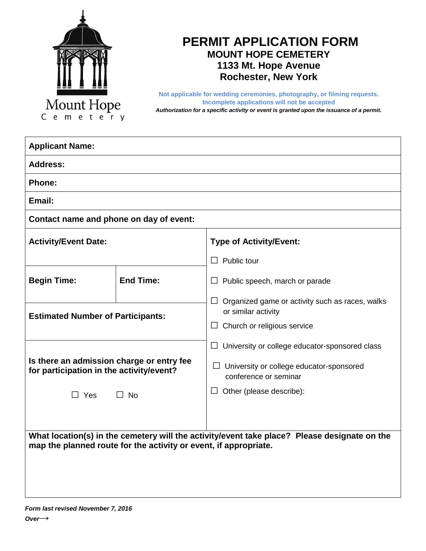

# **PERMIT APPLICATION FORM MOUNT HOPE CEMETERY 1133 Mt. Hope Avenue Rochester, New York**

**Not applicable for wedding ceremonies, photography, or filming requests. Incomplete applications will not be accepted** *Authorization for a specific activity or event is granted upon the issuance of a permit.*

| <b>Applicant Name:</b>                                                                                                                                           |                  |                                                                                  |
|------------------------------------------------------------------------------------------------------------------------------------------------------------------|------------------|----------------------------------------------------------------------------------|
| <b>Address:</b>                                                                                                                                                  |                  |                                                                                  |
| <b>Phone:</b>                                                                                                                                                    |                  |                                                                                  |
| Email:                                                                                                                                                           |                  |                                                                                  |
| Contact name and phone on day of event:                                                                                                                          |                  |                                                                                  |
| <b>Activity/Event Date:</b>                                                                                                                                      |                  | <b>Type of Activity/Event:</b>                                                   |
|                                                                                                                                                                  |                  | $\Box$ Public tour                                                               |
| <b>Begin Time:</b>                                                                                                                                               | <b>End Time:</b> | $\Box$ Public speech, march or parade                                            |
| <b>Estimated Number of Participants:</b>                                                                                                                         |                  | Organized game or activity such as races, walks<br>$\Box$<br>or similar activity |
|                                                                                                                                                                  |                  | $\Box$ Church or religious service                                               |
|                                                                                                                                                                  |                  | $\Box$ University or college educator-sponsored class                            |
| Is there an admission charge or entry fee<br>for participation in the activity/event?                                                                            |                  | $\Box$ University or college educator-sponsored<br>conference or seminar         |
| $\Box$ Yes                                                                                                                                                       | $\Box$ No        | $\Box$ Other (please describe):                                                  |
|                                                                                                                                                                  |                  |                                                                                  |
| What location(s) in the cemetery will the activity/event take place? Please designate on the<br>map the planned route for the activity or event, if appropriate. |                  |                                                                                  |
|                                                                                                                                                                  |                  |                                                                                  |
|                                                                                                                                                                  |                  |                                                                                  |
|                                                                                                                                                                  |                  |                                                                                  |